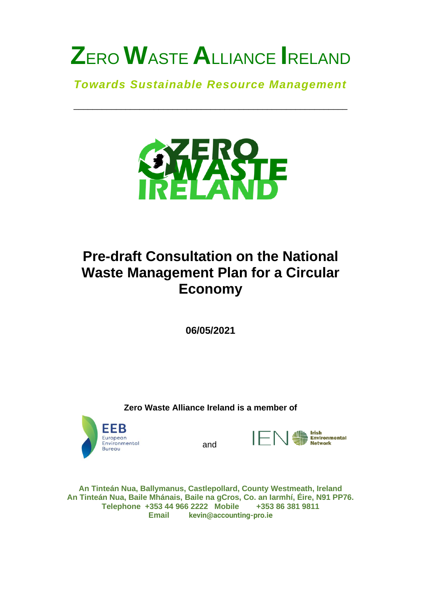# **Z**ERO **W**ASTE **A**LLIANCE **I**RELAND

*Towards Sustainable Resource Management*

\_\_\_\_\_\_\_\_\_\_\_\_\_\_\_\_\_\_\_\_\_\_\_\_\_\_\_\_\_\_\_\_\_\_\_\_\_\_\_\_\_\_\_\_\_\_\_\_\_\_\_\_\_\_\_\_\_\_



# **Pre-draft Consultation on the National Waste Management Plan for a Circular Economy**

**06/05/2021**

**Zero Waste Alliance Ireland is a member of**



and



**An Tinteán Nua, Ballymanus, Castlepollard, County Westmeath, Ireland An Tinteán Nua, Baile Mhánais, Baile na gCros, Co. an Iarmhí, Éire, N91 PP76. Telephone +353 44 966 2222 Mobile +353 86 381 9811 Email kevin@accounting-pro.ie**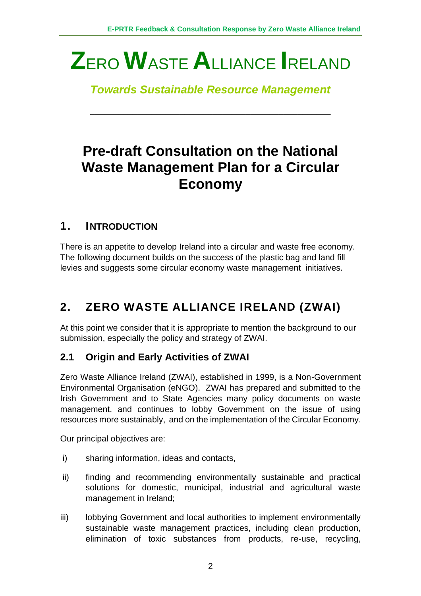# **Z**ERO **W**ASTE **A**LLIANCE **I**RELAND

*Towards Sustainable Resource Management*

\_\_\_\_\_\_\_\_\_\_\_\_\_\_\_\_\_\_\_\_\_\_\_\_\_\_\_\_\_\_\_\_\_\_\_\_\_\_\_\_\_\_\_\_\_\_\_\_\_\_\_

# **Pre-draft Consultation on the National Waste Management Plan for a Circular Economy**

# **1. INTRODUCTION**

There is an appetite to develop Ireland into a circular and waste free economy. The following document builds on the success of the plastic bag and land fill levies and suggests some circular economy waste management initiatives.

# **2. ZERO WASTE ALLIANCE IRELAND (ZWAI)**

At this point we consider that it is appropriate to mention the background to our submission, especially the policy and strategy of ZWAI.

## **2.1 Origin and Early Activities of ZWAI**

Zero Waste Alliance Ireland (ZWAI), established in 1999, is a Non-Government Environmental Organisation (eNGO). ZWAI has prepared and submitted to the Irish Government and to State Agencies many policy documents on waste management, and continues to lobby Government on the issue of using resources more sustainably, and on the implementation of the Circular Economy.

Our principal objectives are:

- i) sharing information, ideas and contacts,
- ii) finding and recommending environmentally sustainable and practical solutions for domestic, municipal, industrial and agricultural waste management in Ireland;
- iii) lobbying Government and local authorities to implement environmentally sustainable waste management practices, including clean production, elimination of toxic substances from products, re-use, recycling,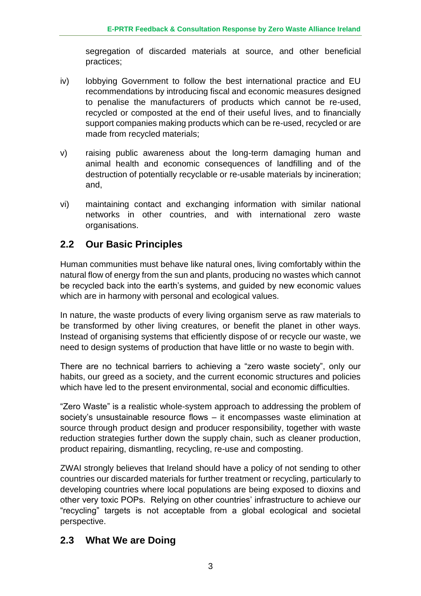segregation of discarded materials at source, and other beneficial practices;

- iv) lobbying Government to follow the best international practice and EU recommendations by introducing fiscal and economic measures designed to penalise the manufacturers of products which cannot be re-used, recycled or composted at the end of their useful lives, and to financially support companies making products which can be re-used, recycled or are made from recycled materials;
- v) raising public awareness about the long-term damaging human and animal health and economic consequences of landfilling and of the destruction of potentially recyclable or re-usable materials by incineration; and,
- vi) maintaining contact and exchanging information with similar national networks in other countries, and with international zero waste organisations.

## **2.2 Our Basic Principles**

Human communities must behave like natural ones, living comfortably within the natural flow of energy from the sun and plants, producing no wastes which cannot be recycled back into the earth's systems, and guided by new economic values which are in harmony with personal and ecological values.

In nature, the waste products of every living organism serve as raw materials to be transformed by other living creatures, or benefit the planet in other ways. Instead of organising systems that efficiently dispose of or recycle our waste, we need to design systems of production that have little or no waste to begin with.

There are no technical barriers to achieving a "zero waste society", only our habits, our greed as a society, and the current economic structures and policies which have led to the present environmental, social and economic difficulties.

"Zero Waste" is a realistic whole-system approach to addressing the problem of society's unsustainable resource flows – it encompasses waste elimination at source through product design and producer responsibility, together with waste reduction strategies further down the supply chain, such as cleaner production, product repairing, dismantling, recycling, re-use and composting.

ZWAI strongly believes that Ireland should have a policy of not sending to other countries our discarded materials for further treatment or recycling, particularly to developing countries where local populations are being exposed to dioxins and other very toxic POPs. Relying on other countries' infrastructure to achieve our "recycling" targets is not acceptable from a global ecological and societal perspective.

## **2.3 What We are Doing**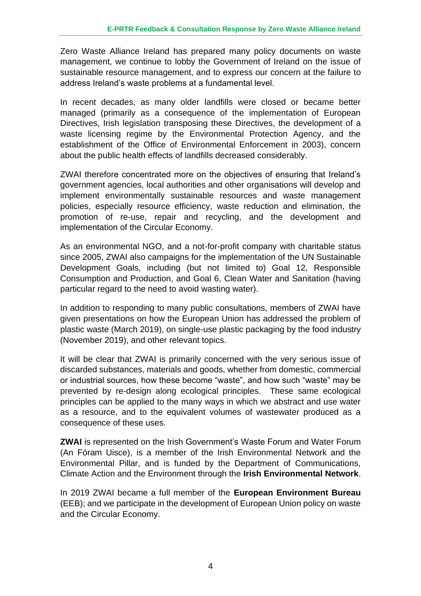Zero Waste Alliance Ireland has prepared many policy documents on waste management, we continue to lobby the Government of Ireland on the issue of sustainable resource management, and to express our concern at the failure to address Ireland's waste problems at a fundamental level.

In recent decades, as many older landfills were closed or became better managed (primarily as a consequence of the implementation of European Directives, Irish legislation transposing these Directives, the development of a waste licensing regime by the Environmental Protection Agency, and the establishment of the Office of Environmental Enforcement in 2003), concern about the public health effects of landfills decreased considerably.

ZWAI therefore concentrated more on the objectives of ensuring that Ireland's government agencies, local authorities and other organisations will develop and implement environmentally sustainable resources and waste management policies, especially resource efficiency, waste reduction and elimination, the promotion of re-use, repair and recycling, and the development and implementation of the Circular Economy.

As an environmental NGO, and a not-for-profit company with charitable status since 2005, ZWAI also campaigns for the implementation of the UN Sustainable Development Goals, including (but not limited to) Goal 12, Responsible Consumption and Production, and Goal 6, Clean Water and Sanitation (having particular regard to the need to avoid wasting water).

In addition to responding to many public consultations, members of ZWAI have given presentations on how the European Union has addressed the problem of plastic waste (March 2019), on single-use plastic packaging by the food industry (November 2019), and other relevant topics.

It will be clear that ZWAI is primarily concerned with the very serious issue of discarded substances, materials and goods, whether from domestic, commercial or industrial sources, how these become "waste", and how such "waste" may be prevented by re-design along ecological principles. These same ecological principles can be applied to the many ways in which we abstract and use water as a resource, and to the equivalent volumes of wastewater produced as a consequence of these uses.

**ZWAI** is represented on the Irish Government's Waste Forum and Water Forum (An Fóram Uisce), is a member of the Irish Environmental Network and the Environmental Pillar, and is funded by the Department of Communications, Climate Action and the Environment through the **Irish Environmental Network**.

In 2019 ZWAI became a full member of the **European Environment Bureau** (EEB); and we participate in the development of European Union policy on waste and the Circular Economy.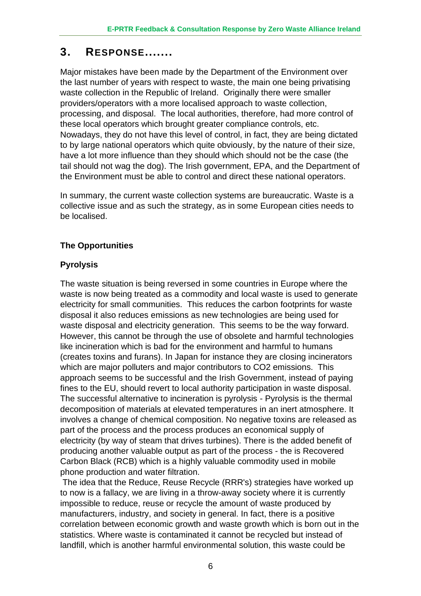## **3. RESPONSE.......**

Major mistakes have been made by the Department of the Environment over the last number of years with respect to waste, the main one being privatising waste collection in the Republic of Ireland. Originally there were smaller providers/operators with a more localised approach to waste collection, processing, and disposal. The local authorities, therefore, had more control of these local operators which brought greater compliance controls, etc. Nowadays, they do not have this level of control, in fact, they are being dictated to by large national operators which quite obviously, by the nature of their size, have a lot more influence than they should which should not be the case (the tail should not wag the dog). The Irish government, EPA, and the Department of the Environment must be able to control and direct these national operators.

In summary, the current waste collection systems are bureaucratic. Waste is a collective issue and as such the strategy, as in some European cities needs to be localised.

### **The Opportunities**

### **Pyrolysis**

The waste situation is being reversed in some countries in Europe where the waste is now being treated as a commodity and local waste is used to generate electricity for small communities. This reduces the carbon footprints for waste disposal it also reduces emissions as new technologies are being used for waste disposal and electricity generation. This seems to be the way forward. However, this cannot be through the use of obsolete and harmful technologies like incineration which is bad for the environment and harmful to humans (creates toxins and furans). In Japan for instance they are closing incinerators which are major polluters and major contributors to CO2 emissions. This approach seems to be successful and the Irish Government, instead of paying fines to the EU, should revert to local authority participation in waste disposal. The successful alternative to incineration is pyrolysis - Pyrolysis is the thermal decomposition of materials at elevated temperatures in an inert atmosphere. It involves a change of chemical composition. No negative toxins are released as part of the process and the process produces an economical supply of electricity (by way of steam that drives turbines). There is the added benefit of producing another valuable output as part of the process - the is Recovered Carbon Black (RCB) which is a highly valuable commodity used in mobile phone production and water filtration.

The idea that the Reduce, Reuse Recycle (RRR's) strategies have worked up to now is a fallacy, we are living in a throw-away society where it is currently impossible to reduce, reuse or recycle the amount of waste produced by manufacturers, industry, and society in general. In fact, there is a positive correlation between economic growth and waste growth which is born out in the statistics. Where waste is contaminated it cannot be recycled but instead of landfill, which is another harmful environmental solution, this waste could be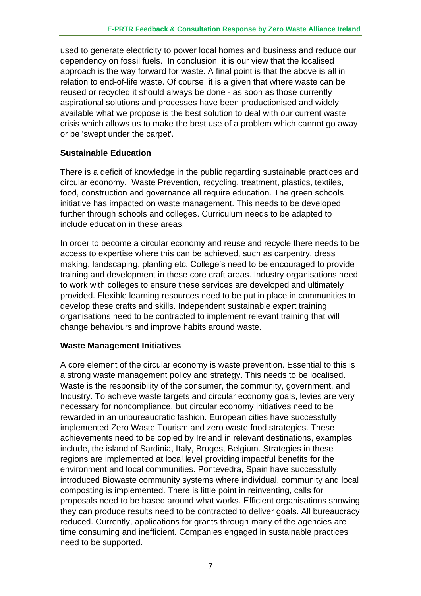used to generate electricity to power local homes and business and reduce our dependency on fossil fuels. In conclusion, it is our view that the localised approach is the way forward for waste. A final point is that the above is all in relation to end-of-life waste. Of course, it is a given that where waste can be reused or recycled it should always be done - as soon as those currently aspirational solutions and processes have been productionised and widely available what we propose is the best solution to deal with our current waste crisis which allows us to make the best use of a problem which cannot go away or be 'swept under the carpet'.

#### **Sustainable Education**

There is a deficit of knowledge in the public regarding sustainable practices and circular economy. Waste Prevention, recycling, treatment, plastics, textiles, food, construction and governance all require education. The green schools initiative has impacted on waste management. This needs to be developed further through schools and colleges. Curriculum needs to be adapted to include education in these areas.

In order to become a circular economy and reuse and recycle there needs to be access to expertise where this can be achieved, such as carpentry, dress making, landscaping, planting etc. College's need to be encouraged to provide training and development in these core craft areas. Industry organisations need to work with colleges to ensure these services are developed and ultimately provided. Flexible learning resources need to be put in place in communities to develop these crafts and skills. Independent sustainable expert training organisations need to be contracted to implement relevant training that will change behaviours and improve habits around waste.

#### **Waste Management Initiatives**

A core element of the circular economy is waste prevention. Essential to this is a strong waste management policy and strategy. This needs to be localised. Waste is the responsibility of the consumer, the community, government, and Industry. To achieve waste targets and circular economy goals, levies are very necessary for noncompliance, but circular economy initiatives need to be rewarded in an unbureaucratic fashion. European cities have successfully implemented Zero Waste Tourism and zero waste food strategies. These achievements need to be copied by Ireland in relevant destinations, examples include, the island of Sardinia, Italy, Bruges, Belgium. Strategies in these regions are implemented at local level providing impactful benefits for the environment and local communities. Pontevedra, Spain have successfully introduced Biowaste community systems where individual, community and local composting is implemented. There is little point in reinventing, calls for proposals need to be based around what works. Efficient organisations showing they can produce results need to be contracted to deliver goals. All bureaucracy reduced. Currently, applications for grants through many of the agencies are time consuming and inefficient. Companies engaged in sustainable practices need to be supported.